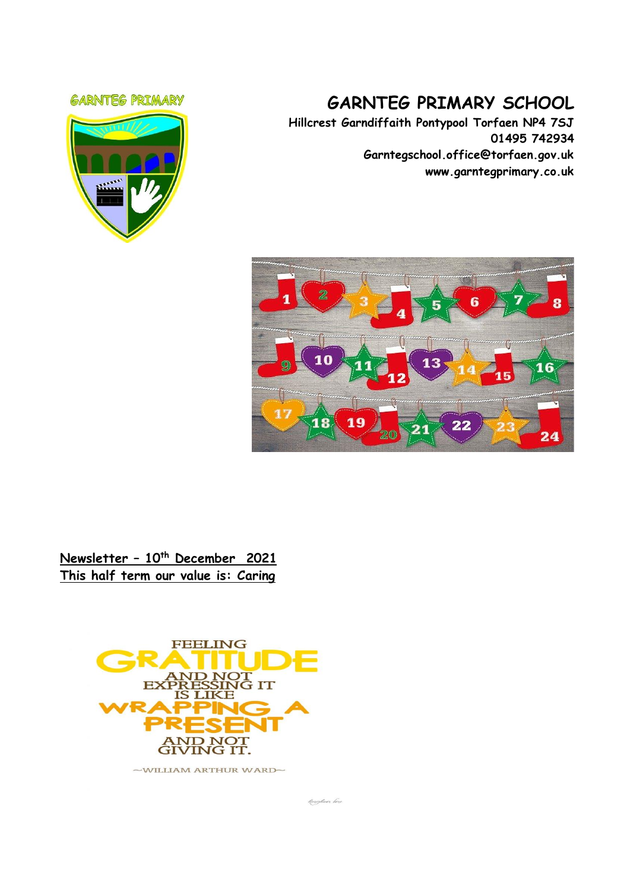#### **GARNTEG PRIMARY**



# **GARNTEG PRIMARY SCHOOL**

**Hillcrest Garndiffaith Pontypool Torfaen NP4 7SJ 01495 742934 Garntegschool.office@torfaen.gov.uk www.garntegprimary.co.uk**



## **Newsletter – 10th December 2021 This half term our value is: Caring**



foreybear lare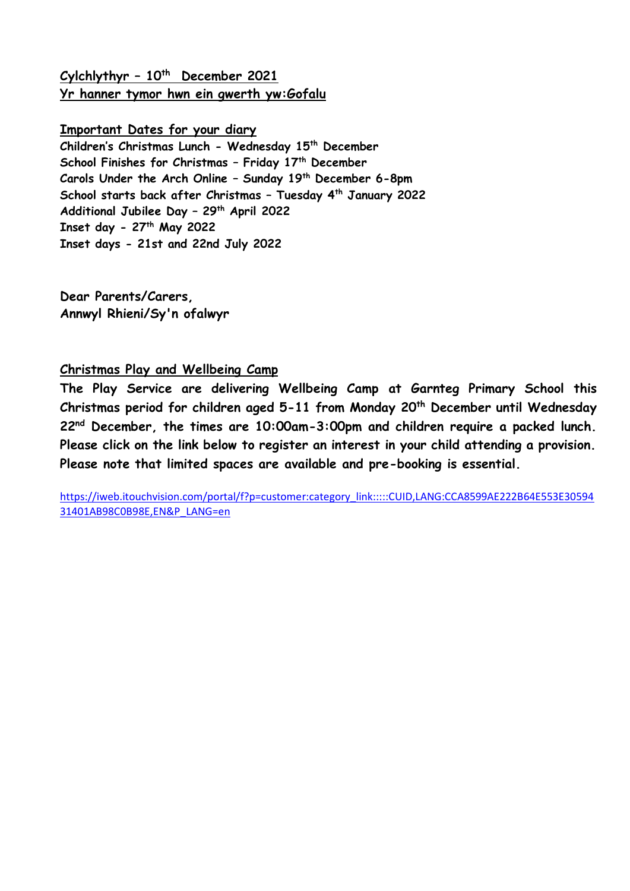**Cylchlythyr – 10th December 2021 Yr hanner tymor hwn ein gwerth yw:Gofalu**

### **Important Dates for your diary**

**Children's Christmas Lunch - Wednesday 15 th December School Finishes for Christmas – Friday 17th December Carols Under the Arch Online – Sunday 19th December 6-8pm School starts back after Christmas – Tuesday 4th January 2022 Additional Jubilee Day – 29th April 2022 Inset day - 27th May 2022 Inset days - 21st and 22nd July 2022**

**Dear Parents/Carers, Annwyl Rhieni/Sy'n ofalwyr**

### **Christmas Play and Wellbeing Camp**

**The Play Service are delivering Wellbeing Camp at Garnteg Primary School this Christmas period for children aged 5-11 from Monday 20th December until Wednesday 22nd December, the times are 10:00am-3:00pm and children require a packed lunch. Please click on the link below to register an interest in your child attending a provision. Please note that limited spaces are available and pre-booking is essential.** 

[https://iweb.itouchvision.com/portal/f?p=customer:category\\_link:::::CUID,LANG:CCA8599AE222B64E553E30594](https://eur03.safelinks.protection.outlook.com/?url=https%3A%2F%2Fiweb.itouchvision.com%2Fportal%2Ff%3Fp%3Dcustomer%3Acategory_link%3A%3A%3A%3A%3ACUID%2CLANG%3ACCA8599AE222B64E553E3059431401AB98C0B98E%2CEN%26P_LANG%3Den&data=04%7C01%7CSharron.Williams%40torfaen.gov.uk%7C578907f889df421ae14e08d9b339621d%7C2c4d0079c52c4bb3b3cad8eaf1b6b7d5%7C0%7C0%7C637737881301001547%7CUnknown%7CTWFpbGZsb3d8eyJWIjoiMC4wLjAwMDAiLCJQIjoiV2luMzIiLCJBTiI6Ik1haWwiLCJXVCI6Mn0%3D%7C3000&sdata=sxGv%2BSvAyBYAAwBfN9J8PSAeFcjlZpofQN3gXTvqLtQ%3D&reserved=0) [31401AB98C0B98E,EN&P\\_LANG=en](https://eur03.safelinks.protection.outlook.com/?url=https%3A%2F%2Fiweb.itouchvision.com%2Fportal%2Ff%3Fp%3Dcustomer%3Acategory_link%3A%3A%3A%3A%3ACUID%2CLANG%3ACCA8599AE222B64E553E3059431401AB98C0B98E%2CEN%26P_LANG%3Den&data=04%7C01%7CSharron.Williams%40torfaen.gov.uk%7C578907f889df421ae14e08d9b339621d%7C2c4d0079c52c4bb3b3cad8eaf1b6b7d5%7C0%7C0%7C637737881301001547%7CUnknown%7CTWFpbGZsb3d8eyJWIjoiMC4wLjAwMDAiLCJQIjoiV2luMzIiLCJBTiI6Ik1haWwiLCJXVCI6Mn0%3D%7C3000&sdata=sxGv%2BSvAyBYAAwBfN9J8PSAeFcjlZpofQN3gXTvqLtQ%3D&reserved=0)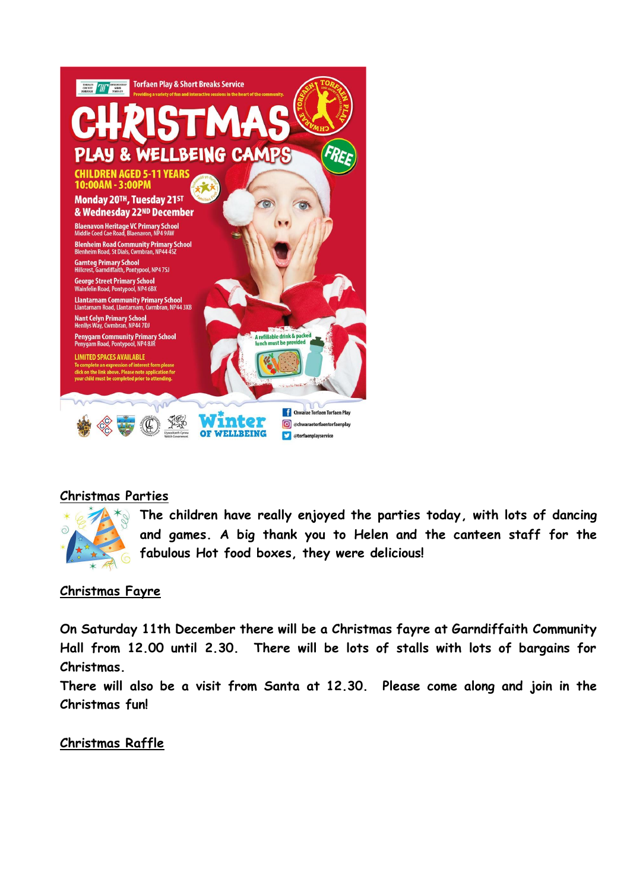

## **Christmas Parties**



**The children have really enjoyed the parties today, with lots of dancing and games. A big thank you to Helen and the canteen staff for the fabulous Hot food boxes, they were delicious!**

## **Christmas Fayre**

**On Saturday 11th December there will be a Christmas fayre at Garndiffaith Community Hall from 12.00 until 2.30. There will be lots of stalls with lots of bargains for Christmas.**

**There will also be a visit from Santa at 12.30. Please come along and join in the Christmas fun!**

## **Christmas Raffle**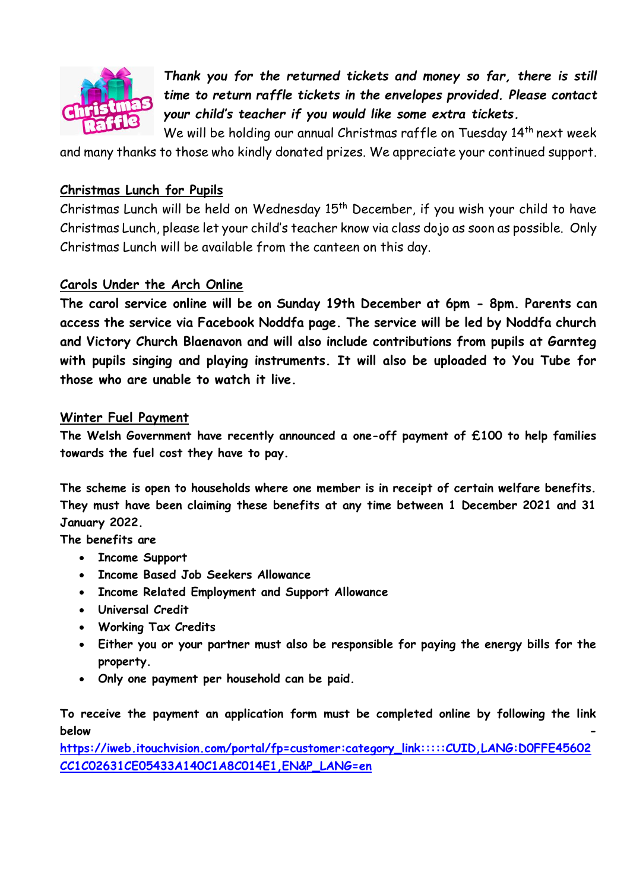

*Thank you for the returned tickets and money so far, there is still time to return raffle tickets in the envelopes provided. Please contact your child's teacher if you would like some extra tickets.* 

We will be holding our annual Christmas raffle on Tuesday 14<sup>th</sup> next week

and many thanks to those who kindly donated prizes. We appreciate your continued support.

## **Christmas Lunch for Pupils**

Christmas Lunch will be held on Wednesday  $15<sup>th</sup>$  December, if you wish your child to have Christmas Lunch, please let your child's teacher know via class dojo as soon as possible. Only Christmas Lunch will be available from the canteen on this day.

## **Carols Under the Arch Online**

**The carol service online will be on Sunday 19th December at 6pm - 8pm. Parents can access the service via Facebook Noddfa page. The service will be led by Noddfa church and Victory Church Blaenavon and will also include contributions from pupils at Garnteg with pupils singing and playing instruments. It will also be uploaded to You Tube for those who are unable to watch it live.** 

## **Winter Fuel Payment**

**The Welsh Government have recently announced a one-off payment of £100 to help families towards the fuel cost they have to pay.** 

**The scheme is open to households where one member is in receipt of certain welfare benefits. They must have been claiming these benefits at any time between 1 December 2021 and 31 January 2022.**

**The benefits are**

- **Income Support**
- **Income Based Job Seekers Allowance**
- **Income Related Employment and Support Allowance**
- **Universal Credit**
- **Working Tax Credits**
- **Either you or your partner must also be responsible for paying the energy bills for the property.**
- **Only one payment per household can be paid.**

**To receive the payment an application form must be completed online by following the link below -**

**[https://iweb.itouchvision.com/portal/fp=customer:category\\_link:::::CUID,LANG:D0FFE45602](https://eur03.safelinks.protection.outlook.com/?url=https%3A%2F%2Fiweb.itouchvision.com%2Fportal%2Ff%3Fp%3Dcustomer%3Acategory_link%3A%3A%3A%3A%3ACUID%2CLANG%3AD0FFE45602CC1C02631CE05433A140C1A8C014E1%2CEN%26P_LANG%3Den&data=04%7C01%7Cgarntegschool.office%40torfaen.gov.uk%7C8a19f36e3aae4f73be1008d9ba33812a%7C2c4d0079c52c4bb3b3cad8eaf1b6b7d5%7C0%7C0%7C637745552634570697%7CUnknown%7CTWFpbGZsb3d8eyJWIjoiMC4wLjAwMDAiLCJQIjoiV2luMzIiLCJBTiI6Ik1haWwiLCJXVCI6Mn0%3D%7C3000&sdata=d8OwtLYbjPZ18%2BPK3%2F71I3l8ALc0nWEt7v0kIH%2BnK5Y%3D&reserved=0) [CC1C02631CE05433A140C1A8C014E1,EN&P\\_LANG=en](https://eur03.safelinks.protection.outlook.com/?url=https%3A%2F%2Fiweb.itouchvision.com%2Fportal%2Ff%3Fp%3Dcustomer%3Acategory_link%3A%3A%3A%3A%3ACUID%2CLANG%3AD0FFE45602CC1C02631CE05433A140C1A8C014E1%2CEN%26P_LANG%3Den&data=04%7C01%7Cgarntegschool.office%40torfaen.gov.uk%7C8a19f36e3aae4f73be1008d9ba33812a%7C2c4d0079c52c4bb3b3cad8eaf1b6b7d5%7C0%7C0%7C637745552634570697%7CUnknown%7CTWFpbGZsb3d8eyJWIjoiMC4wLjAwMDAiLCJQIjoiV2luMzIiLCJBTiI6Ik1haWwiLCJXVCI6Mn0%3D%7C3000&sdata=d8OwtLYbjPZ18%2BPK3%2F71I3l8ALc0nWEt7v0kIH%2BnK5Y%3D&reserved=0)**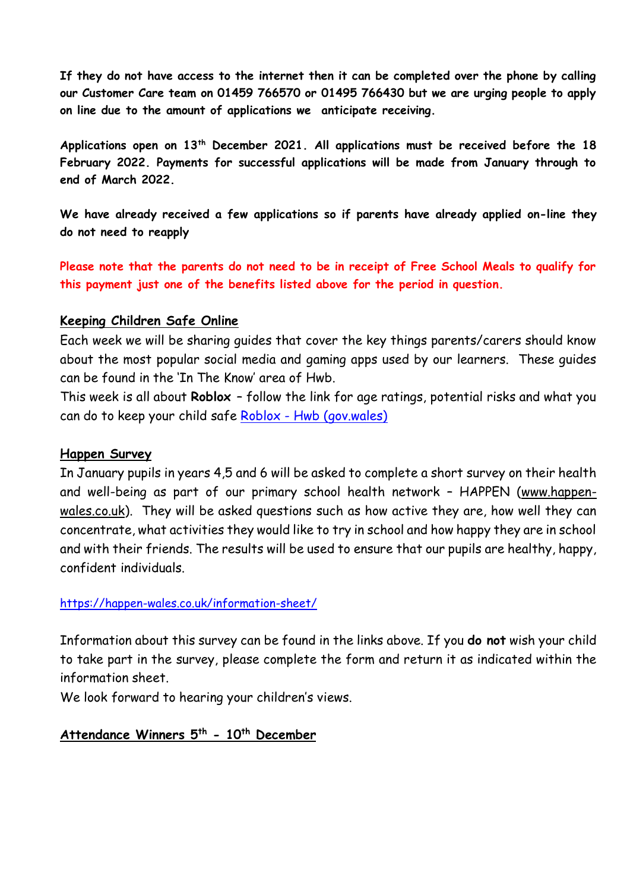**If they do not have access to the internet then it can be completed over the phone by calling our Customer Care team on 01459 766570 or 01495 766430 but we are urging people to apply on line due to the amount of applications we anticipate receiving.**

**Applications open on 13th December 2021. All applications must be received before the 18 February 2022. Payments for successful applications will be made from January through to end of March 2022.**

**We have already received a few applications so if parents have already applied on-line they do not need to reapply**

**Please note that the parents do not need to be in receipt of Free School Meals to qualify for this payment just one of the benefits listed above for the period in question.**

### **Keeping Children Safe Online**

Each week we will be sharing guides that cover the key things parents/carers should know about the most popular social media and gaming apps used by our learners. These guides can be found in the 'In The Know' area of Hwb.

This week is all about **Roblox** – follow the link for age ratings, potential risks and what you can do to keep your child safe Roblox - [Hwb \(gov.wales\)](https://hwb.gov.wales/zones/keeping-safe-online/in-the-know/roblox/)

#### **Happen Survey**

In January pupils in years 4,5 and 6 will be asked to complete a short survey on their health and well-being as part of our primary school health network – HAPPEN [\(www.happen](https://eur03.safelinks.protection.outlook.com/?url=http%3A%2F%2Fwww.happen-wales.co.uk%2F&data=04%7C01%7CLinda.Davies%40torfaen.gov.uk%7Ccba7c9cdf62f4c6b03dd08d9b64fe66e%7C2c4d0079c52c4bb3b3cad8eaf1b6b7d5%7C0%7C0%7C637741276539056152%7CUnknown%7CTWFpbGZsb3d8eyJWIjoiMC4wLjAwMDAiLCJQIjoiV2luMzIiLCJBTiI6Ik1haWwiLCJXVCI6Mn0%3D%7C3000&sdata=OXBHW4wW2Ip9c6bKQ%2FhQNte7Mfel5tXdib5spxY6mPo%3D&reserved=0)[wales.co.uk\)](https://eur03.safelinks.protection.outlook.com/?url=http%3A%2F%2Fwww.happen-wales.co.uk%2F&data=04%7C01%7CLinda.Davies%40torfaen.gov.uk%7Ccba7c9cdf62f4c6b03dd08d9b64fe66e%7C2c4d0079c52c4bb3b3cad8eaf1b6b7d5%7C0%7C0%7C637741276539056152%7CUnknown%7CTWFpbGZsb3d8eyJWIjoiMC4wLjAwMDAiLCJQIjoiV2luMzIiLCJBTiI6Ik1haWwiLCJXVCI6Mn0%3D%7C3000&sdata=OXBHW4wW2Ip9c6bKQ%2FhQNte7Mfel5tXdib5spxY6mPo%3D&reserved=0). They will be asked questions such as how active they are, how well they can concentrate, what activities they would like to try in school and how happy they are in school and with their friends. The results will be used to ensure that our pupils are healthy, happy, confident individuals.

#### [https://happen-wales.co.uk/information-sheet/](https://eur03.safelinks.protection.outlook.com/?url=https%3A%2F%2Fhappen-wales.co.uk%2Finformation-sheet%2F&data=04%7C01%7CLinda.Davies%40torfaen.gov.uk%7Ccba7c9cdf62f4c6b03dd08d9b64fe66e%7C2c4d0079c52c4bb3b3cad8eaf1b6b7d5%7C0%7C0%7C637741276539066123%7CUnknown%7CTWFpbGZsb3d8eyJWIjoiMC4wLjAwMDAiLCJQIjoiV2luMzIiLCJBTiI6Ik1haWwiLCJXVCI6Mn0%3D%7C3000&sdata=B1HtoQdy5coc70gbKZYChWvYK3bUxoGx6tKzs%2FRqSPo%3D&reserved=0)

Information about this survey can be found in the links above. If you **do not** wish your child to take part in the survey, please complete the form and return it as indicated within the information sheet.

We look forward to hearing your children's views.

## **Attendance Winners 5th - 10th December**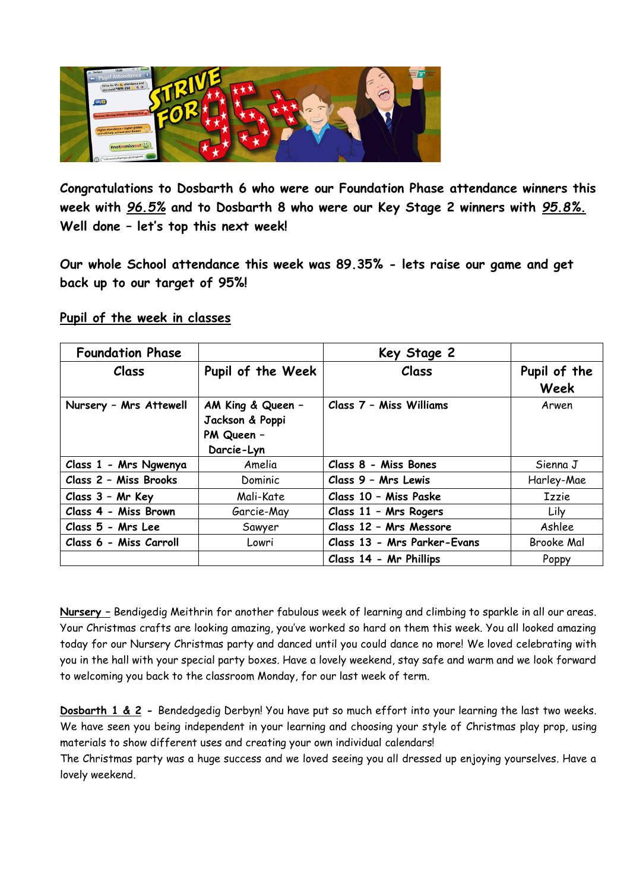

**Congratulations to Dosbarth 6 who were our Foundation Phase attendance winners this week with** *96.5%* **and to Dosbarth 8 who were our Key Stage 2 winners with** *95.8%.* **Well done – let's top this next week!**

**Our whole School attendance this week was 89.35% - lets raise our game and get back up to our target of 95%!**

### **Pupil of the week in classes**

| <b>Foundation Phase</b> |                                                                  | Key Stage 2                 |                      |
|-------------------------|------------------------------------------------------------------|-----------------------------|----------------------|
| Class                   | Pupil of the Week                                                | Class                       | Pupil of the<br>Week |
| Nursery - Mrs Attewell  | AM King & Queen -<br>Jackson & Poppi<br>PM Queen -<br>Darcie-Lyn | Class 7 - Miss Williams     | Arwen                |
| Class 1 - Mrs Ngwenya   | Amelia                                                           | Class 8 - Miss Bones        | Sienna J             |
| Class 2 - Miss Brooks   | Dominic                                                          | Class 9 - Mrs Lewis         | Harley-Mae           |
| Class 3 - Mr Key        | Mali-Kate                                                        | Class 10 - Miss Paske       | <b>Izzie</b>         |
| Class 4 - Miss Brown    | Garcie-May                                                       | Class 11 - Mrs Rogers       | Lily                 |
| Class 5 - Mrs Lee       | Sawyer                                                           | Class 12 - Mrs Messore      | Ashlee               |
| Class 6 - Miss Carroll  | Lowri                                                            | Class 13 - Mrs Parker-Evans | <b>Brooke Mal</b>    |
|                         |                                                                  | Class 14 - Mr Phillips      | Poppy                |

**Nursery –** Bendigedig Meithrin for another fabulous week of learning and climbing to sparkle in all our areas. Your Christmas crafts are looking amazing, you've worked so hard on them this week. You all looked amazing today for our Nursery Christmas party and danced until you could dance no more! We loved celebrating with you in the hall with your special party boxes. Have a lovely weekend, stay safe and warm and we look forward to welcoming you back to the classroom Monday, for our last week of term.

**Dosbarth 1 & 2 -** Bendedgedig Derbyn! You have put so much effort into your learning the last two weeks. We have seen you being independent in your learning and choosing your style of Christmas play prop, using materials to show different uses and creating your own individual calendars!

The Christmas party was a huge success and we loved seeing you all dressed up enjoying yourselves. Have a lovely weekend.